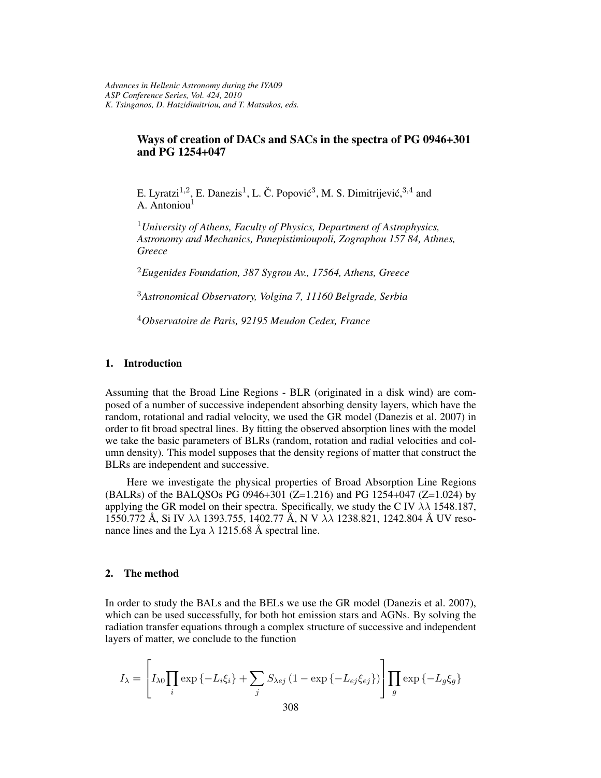# **Ways of creation of DACs and SACs in the spectra of PG 0946+301 and PG 1254+047**

E. Lyratzi<sup>1,2</sup>, E. Danezis<sup>1</sup>, L. Č. Popović<sup>3</sup>, M. S. Dimitrijević, <sup>3,4</sup> and A. Antoniou<sup>1</sup>

<sup>1</sup>*University of Athens, Faculty of Physics, Department of Astrophysics, Astronomy and Mechanics, Panepistimioupoli, Zographou 157 84, Athnes, Greece*

<sup>2</sup>*Eugenides Foundation, 387 Sygrou Av., 17564, Athens, Greece*

<sup>3</sup>*Astronomical Observatory, Volgina 7, 11160 Belgrade, Serbia*

<sup>4</sup>*Observatoire de Paris, 92195 Meudon Cedex, France*

# **1. Introduction**

Assuming that the Broad Line Regions - BLR (originated in a disk wind) are composed of a number of successive independent absorbing density layers, which have the random, rotational and radial velocity, we used the GR model (Danezis et al. 2007) in order to fit broad spectral lines. By fitting the observed absorption lines with the model we take the basic parameters of BLRs (random, rotation and radial velocities and column density). This model supposes that the density regions of matter that construct the BLRs are independent and successive.

Here we investigate the physical properties of Broad Absorption Line Regions  $(BALRs)$  of the BALQSOs PG 0946+301 (Z=1.216) and PG 1254+047 (Z=1.024) by applying the GR model on their spectra. Specifically, we study the C IV  $\lambda\lambda$  1548.187, 1550.772 Å, Si IV  $\lambda\lambda$  1393.755, 1402.77 Å, N V  $\lambda\lambda$  1238.821, 1242.804 Å UV resonance lines and the Lya  $\lambda$  1215.68 Å spectral line.

## **2. The method**

In order to study the BALs and the BELs we use the GR model (Danezis et al. 2007), which can be used successfully, for both hot emission stars and AGNs. By solving the radiation transfer equations through a complex structure of successive and independent layers of matter, we conclude to the function

$$
I_{\lambda} = \left[ I_{\lambda 0} \prod_{i} \exp \left\{ -L_{i} \xi_{i} \right\} + \sum_{j} S_{\lambda ej} \left( 1 - \exp \left\{ -L_{ej} \xi_{ej} \right\} \right) \right] \prod_{g} \exp \left\{ -L_{g} \xi_{g} \right\}
$$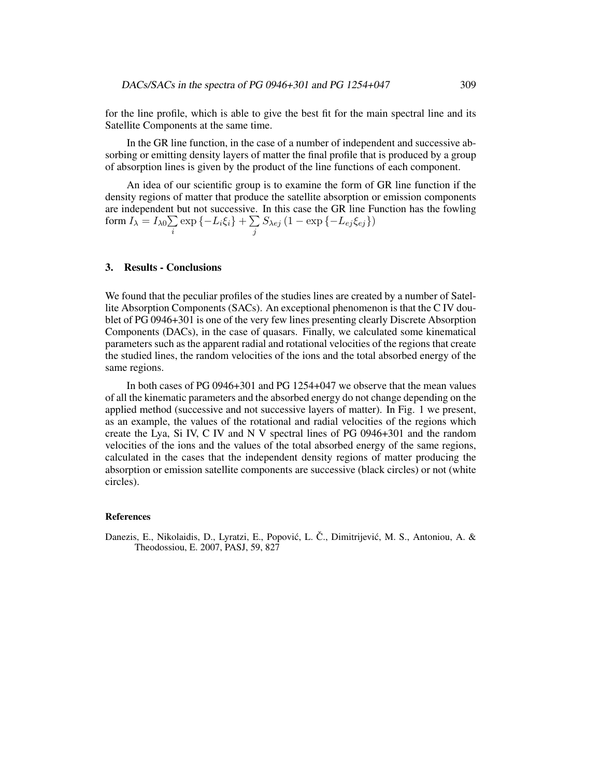for the line profile, which is able to give the best fit for the main spectral line and its Satellite Components at the same time.

In the GR line function, in the case of a number of independent and successive absorbing or emitting density layers of matter the final profile that is produced by a group of absorption lines is given by the product of the line functions of each component.

An idea of our scientific group is to examine the form of GR line function if the density regions of matter that produce the satellite absorption or emission components are independent but not successive. In this case the GR line Function has the fowling form  $I_\lambda = I_{\lambda 0} {\sum}$  $\sum\limits_i \exp \left\{ -L_i \xi_i \right\} + \sum\limits_j S_{\lambda e j} \left( 1 - \exp \left\{ -L_{e j} \xi_{e j} \right\} \right)$ 

# **3. Results - Conclusions**

We found that the peculiar profiles of the studies lines are created by a number of Satellite Absorption Components (SACs). An exceptional phenomenon is that the C IV doublet of PG 0946+301 is one of the very few lines presenting clearly Discrete Absorption Components (DACs), in the case of quasars. Finally, we calculated some kinematical parameters such as the apparent radial and rotational velocities of the regions that create the studied lines, the random velocities of the ions and the total absorbed energy of the same regions.

In both cases of PG 0946+301 and PG 1254+047 we observe that the mean values of all the kinematic parameters and the absorbed energy do not change depending on the applied method (successive and not successive layers of matter). In Fig. 1 we present, as an example, the values of the rotational and radial velocities of the regions which create the Lya, Si IV, C IV and N V spectral lines of PG 0946+301 and the random velocities of the ions and the values of the total absorbed energy of the same regions, calculated in the cases that the independent density regions of matter producing the absorption or emission satellite components are successive (black circles) or not (white circles).

#### **References**

Danezis, E., Nikolaidis, D., Lyratzi, E., Popović, L. Č., Dimitrijević, M. S., Antoniou, A. & Theodossiou, E. 2007, PASJ, 59, 827